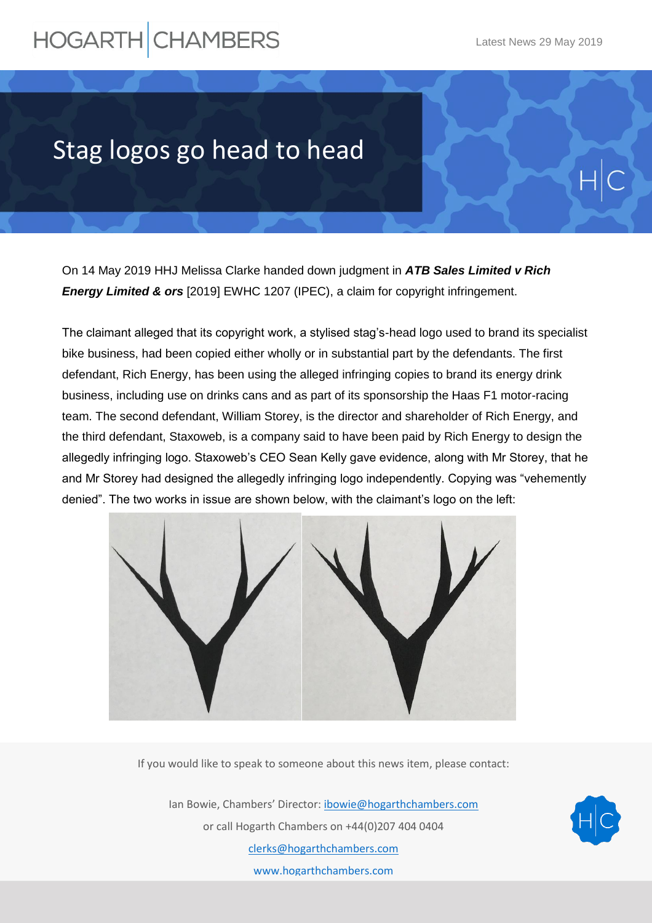## **HOGARTH CHAMBERS**

## Stag logos go head to head

On 14 May 2019 HHJ Melissa Clarke handed down judgment in *ATB Sales Limited v Rich Energy Limited & ors* [2019] EWHC 1207 (IPEC), a claim for copyright infringement.

The claimant alleged that its copyright work, a stylised stag's-head logo used to brand its specialist bike business, had been copied either wholly or in substantial part by the defendants. The first defendant, Rich Energy, has been using the alleged infringing copies to brand its energy drink business, including use on drinks cans and as part of its sponsorship the Haas F1 motor-racing team. The second defendant, William Storey, is the director and shareholder of Rich Energy, and the third defendant, Staxoweb, is a company said to have been paid by Rich Energy to design the allegedly infringing logo. Staxoweb's CEO Sean Kelly gave evidence, along with Mr Storey, that he and Mr Storey had designed the allegedly infringing logo independently. Copying was "vehemently denied". The two works in issue are shown below, with the claimant's logo on the left:



If you would like to speak to someone about this news item, please contact:

Ian Bowie, Chambers' Director: [ibowie@hogarthchambers.com](mailto:ibowie@hogarthchambers.com) or call Hogarth Chambers on +44(0)207 404 0404 [clerks@hogarthchambers.com](mailto:clerks@hogarthchambers.com) [www.hogarthchambers.com](http://www.hogarthchambers.com/)